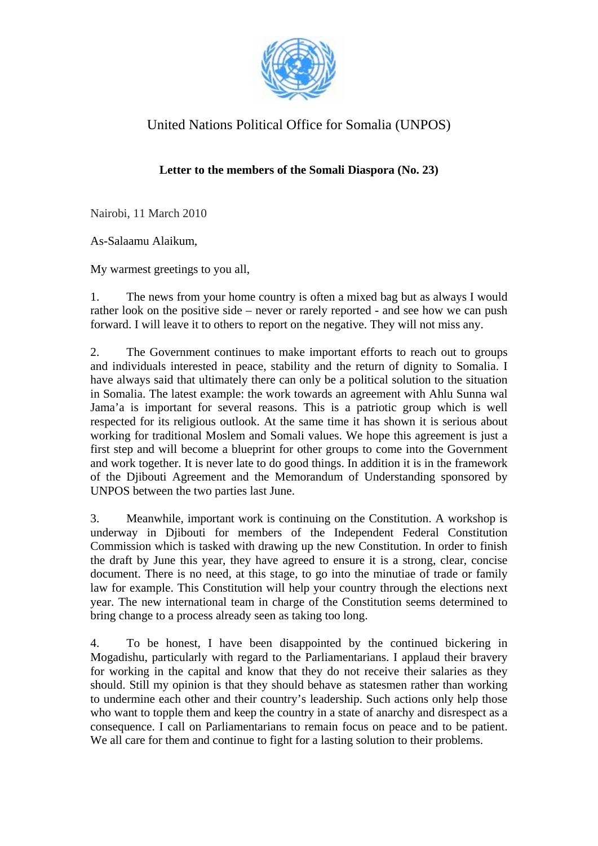

## United Nations Political Office for Somalia (UNPOS)

## **Letter to the members of the Somali Diaspora (No. 23)**

Nairobi, 11 March 2010

As-Salaamu Alaikum,

My warmest greetings to you all,

1. The news from your home country is often a mixed bag but as always I would rather look on the positive side – never or rarely reported - and see how we can push forward. I will leave it to others to report on the negative. They will not miss any.

2. The Government continues to make important efforts to reach out to groups and individuals interested in peace, stability and the return of dignity to Somalia. I have always said that ultimately there can only be a political solution to the situation in Somalia. The latest example: the work towards an agreement with Ahlu Sunna wal Jama'a is important for several reasons. This is a patriotic group which is well respected for its religious outlook. At the same time it has shown it is serious about working for traditional Moslem and Somali values. We hope this agreement is just a first step and will become a blueprint for other groups to come into the Government and work together. It is never late to do good things. In addition it is in the framework of the Djibouti Agreement and the Memorandum of Understanding sponsored by UNPOS between the two parties last June.

3. Meanwhile, important work is continuing on the Constitution. A workshop is underway in Djibouti for members of the Independent Federal Constitution Commission which is tasked with drawing up the new Constitution. In order to finish the draft by June this year, they have agreed to ensure it is a strong, clear, concise document. There is no need, at this stage, to go into the minutiae of trade or family law for example. This Constitution will help your country through the elections next year. The new international team in charge of the Constitution seems determined to bring change to a process already seen as taking too long.

4. To be honest, I have been disappointed by the continued bickering in Mogadishu, particularly with regard to the Parliamentarians. I applaud their bravery for working in the capital and know that they do not receive their salaries as they should. Still my opinion is that they should behave as statesmen rather than working to undermine each other and their country's leadership. Such actions only help those who want to topple them and keep the country in a state of anarchy and disrespect as a consequence. I call on Parliamentarians to remain focus on peace and to be patient. We all care for them and continue to fight for a lasting solution to their problems.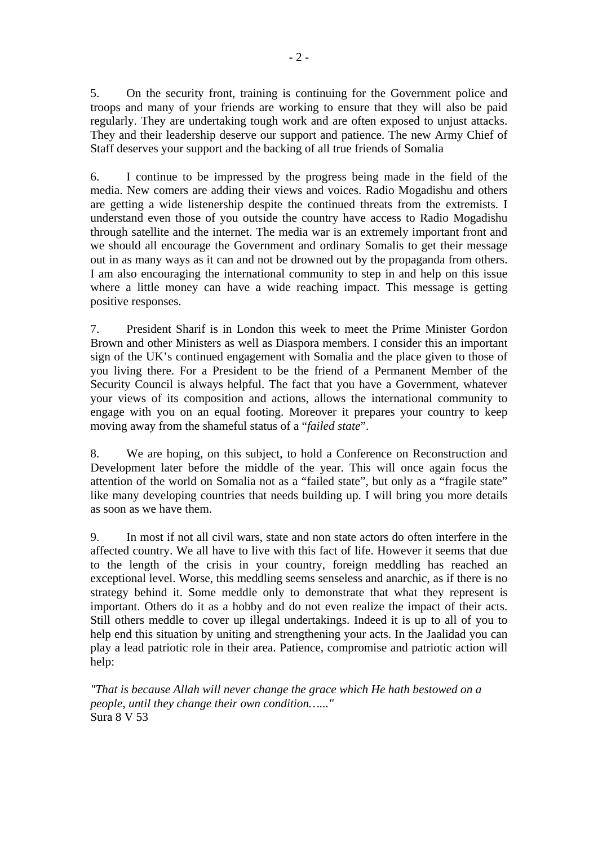5. On the security front, training is continuing for the Government police and troops and many of your friends are working to ensure that they will also be paid regularly. They are undertaking tough work and are often exposed to unjust attacks. They and their leadership deserve our support and patience. The new Army Chief of Staff deserves your support and the backing of all true friends of Somalia

6. I continue to be impressed by the progress being made in the field of the media. New comers are adding their views and voices. Radio Mogadishu and others are getting a wide listenership despite the continued threats from the extremists. I understand even those of you outside the country have access to Radio Mogadishu through satellite and the internet. The media war is an extremely important front and we should all encourage the Government and ordinary Somalis to get their message out in as many ways as it can and not be drowned out by the propaganda from others. I am also encouraging the international community to step in and help on this issue where a little money can have a wide reaching impact. This message is getting positive responses.

7. President Sharif is in London this week to meet the Prime Minister Gordon Brown and other Ministers as well as Diaspora members. I consider this an important sign of the UK's continued engagement with Somalia and the place given to those of you living there. For a President to be the friend of a Permanent Member of the Security Council is always helpful. The fact that you have a Government, whatever your views of its composition and actions, allows the international community to engage with you on an equal footing. Moreover it prepares your country to keep moving away from the shameful status of a "*failed state*".

8. We are hoping, on this subject, to hold a Conference on Reconstruction and Development later before the middle of the year. This will once again focus the attention of the world on Somalia not as a "failed state", but only as a "fragile state" like many developing countries that needs building up. I will bring you more details as soon as we have them.

9. In most if not all civil wars, state and non state actors do often interfere in the affected country. We all have to live with this fact of life. However it seems that due to the length of the crisis in your country, foreign meddling has reached an exceptional level. Worse, this meddling seems senseless and anarchic, as if there is no strategy behind it. Some meddle only to demonstrate that what they represent is important. Others do it as a hobby and do not even realize the impact of their acts. Still others meddle to cover up illegal undertakings. Indeed it is up to all of you to help end this situation by uniting and strengthening your acts. In the Jaalidad you can play a lead patriotic role in their area. Patience, compromise and patriotic action will help:

*"That is because Allah will never change the grace which He hath bestowed on a people, until they change their own condition…..."*  Sura 8 V 53